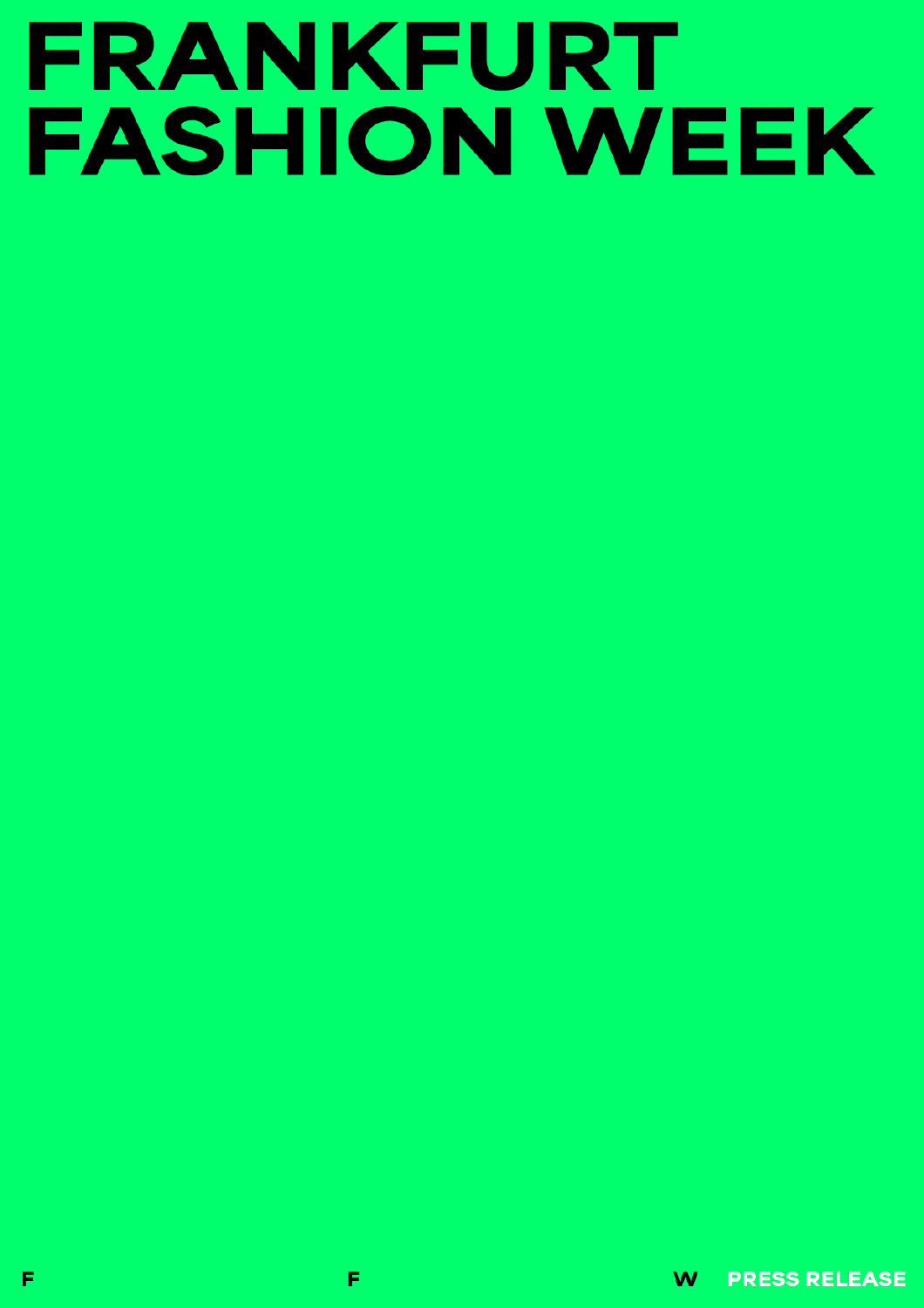# FRANKFURT **FASHION WEEK**

W **PRESS RELEASE**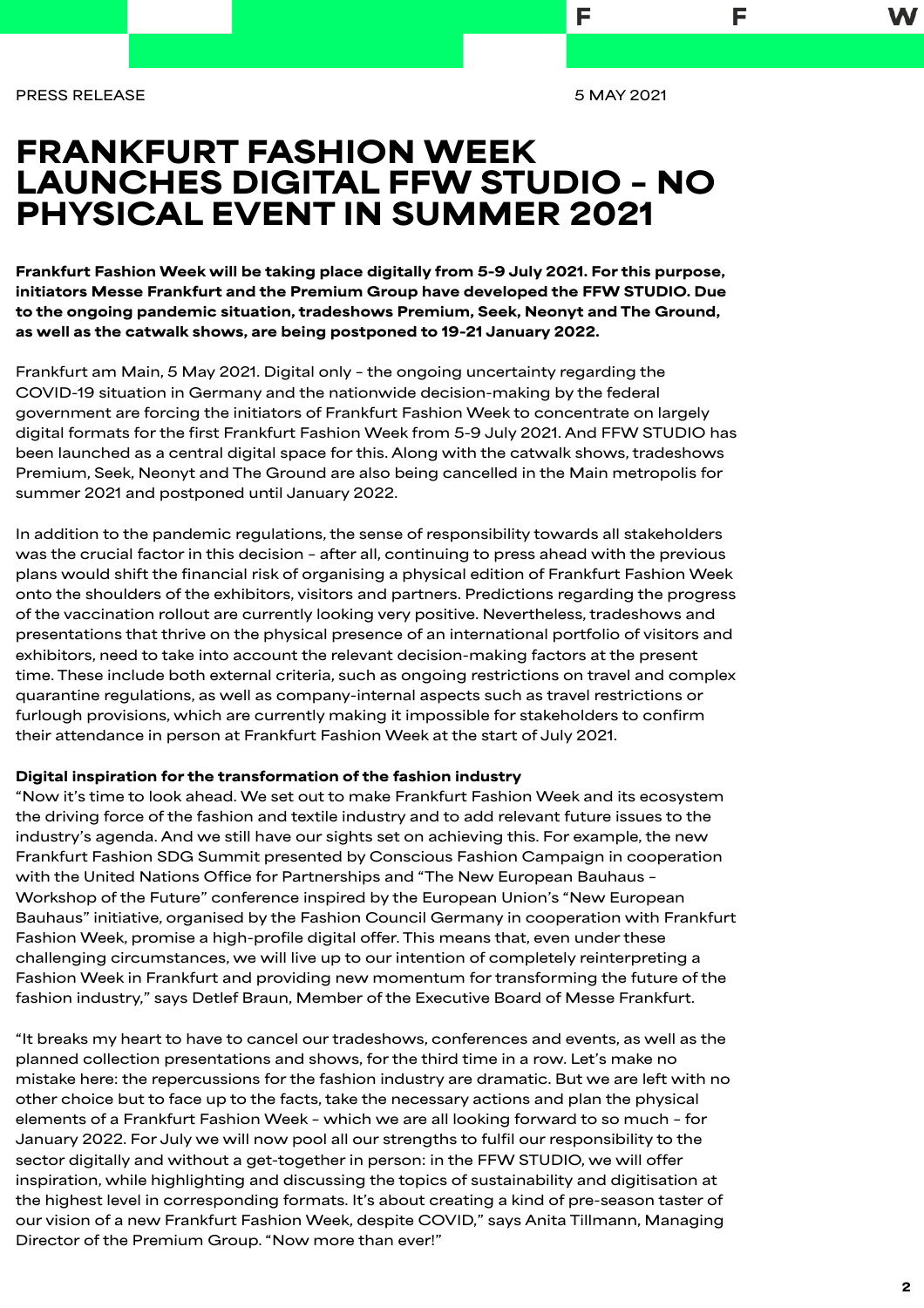**PRESS RELEASE 5 MAY 2021**

F

F

# FRANKFURT FASHION WEEK LAUNCHES DIGITAL FFW STUDIO – NO PHYSICAL EVENT IN SUMMER 2021

Frankfurt Fashion Week will be taking place digitally from 5-9 July 2021. For this purpose, initiators Messe Frankfurt and the Premium Group have developed the FFW STUDIO. Due to the ongoing pandemic situation, tradeshows Premium, Seek, Neonyt and The Ground, as well as the catwalk shows, are being postponed to 19-21 January 2022.

**Frankfurt am Main, 5 May 2021. Digital only – the ongoing uncertainty regarding the COVID-19 situation in Germany and the nationwide decision-making by the federal government are forcing the initiators of Frankfurt Fashion Week to concentrate on largely digital formats for the first Frankfurt Fashion Week from 5-9 July 2021. And FFW STUDIO has been launched as a central digital space for this. Along with the catwalk shows, tradeshows Premium, Seek, Neonyt and The Ground are also being cancelled in the Main metropolis for summer 2021 and postponed until January 2022.** 

**In addition to the pandemic regulations, the sense of responsibility towards all stakeholders was the crucial factor in this decision – after all, continuing to press ahead with the previous plans would shift the financial risk of organising a physical edition of Frankfurt Fashion Week onto the shoulders of the exhibitors, visitors and partners. Predictions regarding the progress of the vaccination rollout are currently looking very positive. Nevertheless, tradeshows and presentations that thrive on the physical presence of an international portfolio of visitors and exhibitors, need to take into account the relevant decision-making factors at the present time. These include both external criteria, such as ongoing restrictions on travel and complex quarantine regulations, as well as company-internal aspects such as travel restrictions or furlough provisions, which are currently making it impossible for stakeholders to confirm their attendance in person at Frankfurt Fashion Week at the start of July 2021.**

### Digital inspiration for the transformation of the fashion industry

**"Now it's time to look ahead. We set out to make Frankfurt Fashion Week and its ecosystem the driving force of the fashion and textile industry and to add relevant future issues to the industry's agenda. And we still have our sights set on achieving this. For example, the new Frankfurt Fashion SDG Summit presented by Conscious Fashion Campaign in cooperation with the United Nations Office for Partnerships and "The New European Bauhaus – Workshop of the Future" conference inspired by the European Union's "New European Bauhaus" initiative, organised by the Fashion Council Germany in cooperation with Frankfurt Fashion Week, promise a high-profile digital offer. This means that, even under these challenging circumstances, we will live up to our intention of completely reinterpreting a Fashion Week in Frankfurt and providing new momentum for transforming the future of the fashion industry," says Detlef Braun, Member of the Executive Board of Messe Frankfurt.**

**"It breaks my heart to have to cancel our tradeshows, conferences and events, as well as the planned collection presentations and shows, for the third time in a row. Let's make no mistake here: the repercussions for the fashion industry are dramatic. But we are left with no other choice but to face up to the facts, take the necessary actions and plan the physical elements of a Frankfurt Fashion Week – which we are all looking forward to so much – for January 2022. For July we will now pool all our strengths to fulfil our responsibility to the sector digitally and without a get-together in person: in the FFW STUDIO, we will offer inspiration, while highlighting and discussing the topics of sustainability and digitisation at the highest level in corresponding formats. It's about creating a kind of pre-season taster of our vision of a new Frankfurt Fashion Week, despite COVID," says Anita Tillmann, Managing Director of the Premium Group. "Now more than ever!"**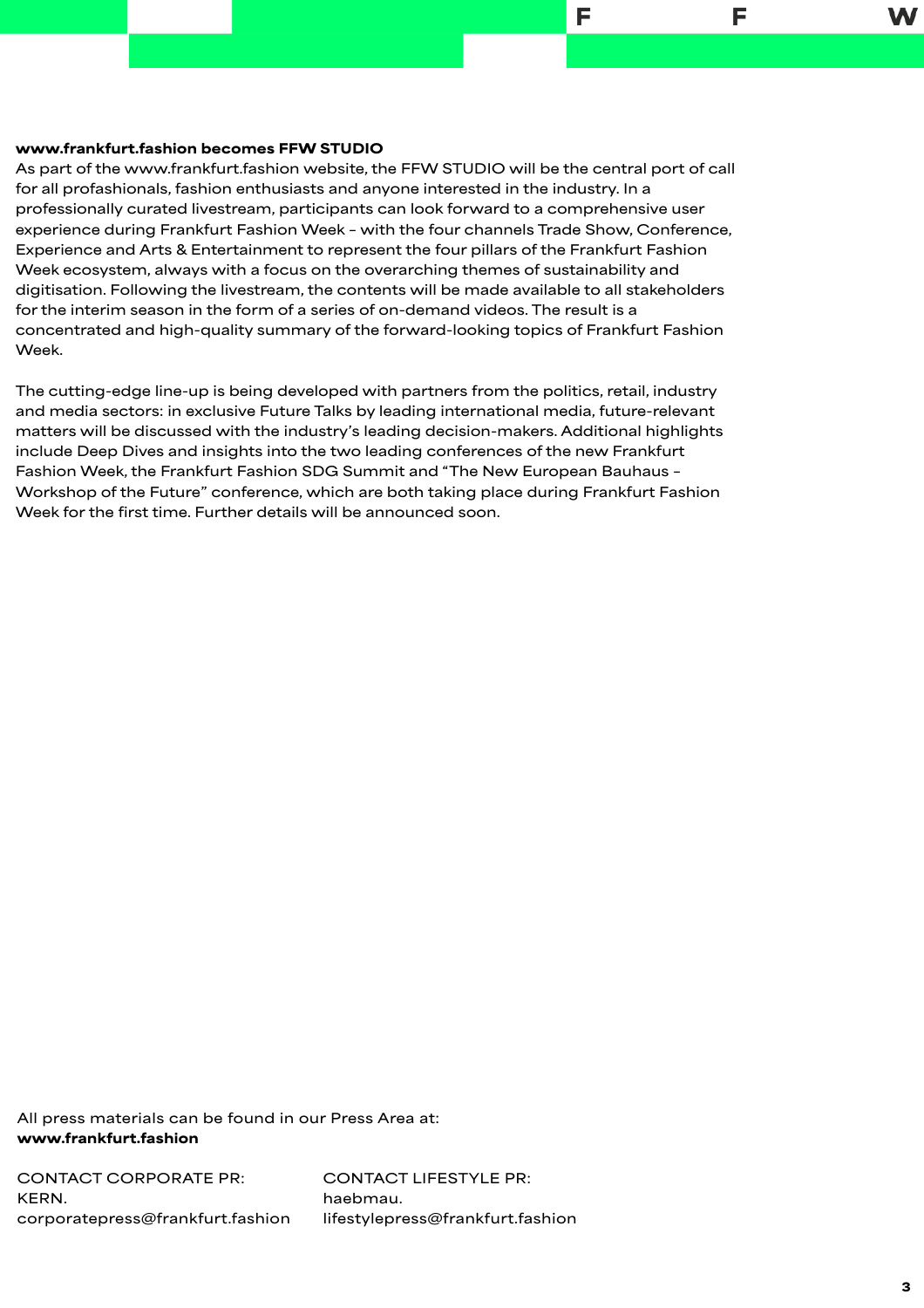## www.frankfurt.fashion becomes FFW STUDIO

**As part of the www.frankfurt.fashion website, the FFW STUDIO will be the central port of call for all profashionals, fashion enthusiasts and anyone interested in the industry. In a professionally curated livestream, participants can look forward to a comprehensive user experience during Frankfurt Fashion Week – with the four channels Trade Show, Conference, Experience and Arts & Entertainment to represent the four pillars of the Frankfurt Fashion Week ecosystem, always with a focus on the overarching themes of sustainability and digitisation. Following the livestream, the contents will be made available to all stakeholders for the interim season in the form of a series of on-demand videos. The result is a concentrated and high-quality summary of the forward-looking topics of Frankfurt Fashion Week.**

F

F

**The cutting-edge line-up is being developed with partners from the politics, retail, industry and media sectors: in exclusive Future Talks by leading international media, future-relevant matters will be discussed with the industry's leading decision-makers. Additional highlights include Deep Dives and insights into the two leading conferences of the new Frankfurt Fashion Week, the Frankfurt Fashion SDG Summit and "The New European Bauhaus – Workshop of the Future" conference, which are both taking place during Frankfurt Fashion Week for the first time. Further details will be announced soon.**

**All press materials can be found in our Press Area at:**  [www.frankfurt.fashion](http://www.frankfurt.fashion)

**CONTACT CORPORATE PR: KERN. [corporatepress@frankfurt.fashion](mailto:corporatepress@frankfurt.fashion)** **CONTACT LIFESTYLE PR: haebmau. [lifestylepress@frankfurt.fashion](mailto:lifestylepress@frankfurt.fashion)**